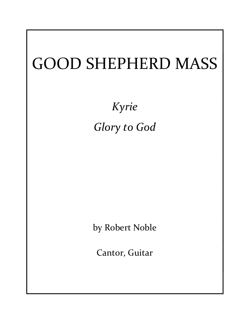## GOOD SHEPHERD MASS

Kyrie Glory to God

by Robert Noble

Cantor, Guitar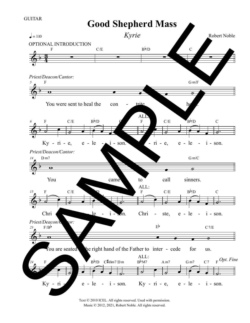## $\frac{1}{9}$  $\frac{3}{4}$ F  $=110$  $\equiv$ C/E  $\equiv$  $B\gamma D$  $\equiv$ C  $\overline{\Phi^{\frac{1}{2}}}$ 5  $\overline{\phantom{a}}$ You were sent to heal the con  $\cdot$  tries heart.  $F$  G m/F -  $\overline{\Phi^{\flat}}$ 6  $\frac{1}{2}$  $\overline{\phantom{a}}$ Ky -  $ri$  -  $e$ , F  $\overrightarrow{\cdot}$  $e,$   $e - le$   $i -$ C/E  $\begin{array}{|c|c|c|}\hline \multicolumn{1}{|c|}{\textbf{}}\hline \multicolumn{1}{|c|}{\textbf{}}\hline \multicolumn{1}{|c|}{\textbf{}}\hline \multicolumn{1}{|c|}{\textbf{}}\hline \multicolumn{1}{|c|}{\textbf{}}\hline \multicolumn{1}{|c|}{\textbf{}}\hline \multicolumn{1}{|c|}{\textbf{}}\hline \multicolumn{1}{|c|}{\textbf{}}\hline \multicolumn{1}{|c|}{\textbf{}}\hline \multicolumn{1}{|c|}{\textbf{}}\hline \multicolumn{1}{|c|}{\textbf{$  $\overrightarrow{ }$  $B\gamma D$  $\overline{a}$ - son.  $\frac{1}{2}$  $\frac{\epsilon}{\epsilon}$  $-$  ri  $-$  e, e  $-$  le  $-$  i  $-$  son.  $y -$  ri  $-$  e, e  $-$  le  $-$  i  $-$  so F  $\overrightarrow{\cdot}$ e - le C/E  $\begin{array}{|c|c|c|}\hline \textbf{0} & \textbf{0} \end{array}$  $\overrightarrow{ }$  $le$  -  $i$  - son.  $B^{\flat}/D$  $\frac{1}{\sigma}$ C  $\overline{\Phi^{\sharp}}$ 14  $\overline{\hspace{1cm}}$ You came to call sinners. D m7 G m/C  $\overline{\Phi^{\frac{1}{2}}}$ 15  $\frac{1}{2}$  $\epsilon$ Chri F  $\overrightarrow{\cdot}$ ste, e C/E N  $\overline{a}$  $le$   $-i$   $\ge$  $\blacksquare$  $\mathbf{Q}$  $\frac{1}{\sigma}$  $\delta$ n. C  $\frac{1}{2}$  $\epsilon$ Chri F  $\overrightarrow{\cdot}$ ste, e C/E  $\begin{array}{|c|c|c|}\hline \textbf{0} & \textbf{0} \end{array}$  $\overrightarrow{ }$  $le$  -  $i$  - son.  $B\gamma D$  $\frac{1}{\sigma}$ C - le - i - on. Chri - ste, e - le - i - so  $\overline{\Phi}$ 23  $\overline{\hspace{1cm}}$ You are seated be right hand of the Father to inter - cede for us.  $E_{\mathbf{p}}$  $F/B^b$  C7/E  $\sqrt{2}$ 24  $\overline{\bullet}$  $Ky - ri$ F  $\frac{1}{2}$ e, e C/E  $\begin{array}{|c|c|c|}\hline \textbf{0} & \textbf{0} & \textbf{0}\ \hline \textbf{0} & \textbf{0} & \textbf{0}\ \hline \textbf{0} & \textbf{0} & \textbf{0}\ \hline \textbf{0} & \textbf{0} & \textbf{0}\ \hline \textbf{0} & \textbf{0} & \textbf{0}\ \hline \textbf{0} & \textbf{0} & \textbf{0}\ \hline \textbf{0} & \textbf{0} & \textbf{0}\ \hline \textbf{0} & \textbf{0} & \textbf{0}\ \hline \textbf{0} & \textbf{0} & \textbf{0}\ \$  $le$  -  $i$  - son.  $B^{\frac{1}{2}}$ /D C#dim7 D m  $\frac{1}{2}$  $\frac{1}{2}$  $\overline{\bullet}$  $-$  ri  $-$  e  $-$  le  $-$  i  $-$  son. Ky  $-$  ri  $-$  e, e  $-$  le  $-$  i  $-$  son  $B<sub>bM7</sub>$  $\overrightarrow{a}$ e, e A m7  $\begin{array}{|c|c|c|}\hline \textbf{0} & \textbf{0} & \textbf{0}\ \hline \textbf{1} & \textbf{0} & \textbf{0}\ \hline \textbf{2} & \textbf{0} & \textbf{0}\ \hline \textbf{3} & \textbf{0} & \textbf{0}\ \hline \textbf{4} & \textbf{0} & \textbf{0}\ \hline \textbf{5} & \textbf{0} & \textbf{0}\ \hline \textbf{6} & \textbf{0} & \textbf{0}\ \hline \textbf{7} & \textbf{0} & \textbf{0}\ \hline \textbf{8} & \textbf{0} & \textbf{0}\ \$  $le$  -  $i$  - son. G m7 C 7  $\frac{1}{2}$ ALL:<br> $B^{b}M7$  A m7 G m7 C 7 F  $Opt.$  Fine Good Shepherd Mass Robert Noble Kyrie OPTIONAL INTRODUCTION Priest/Deacon/Cantor: ALL: ALL: Priest/Deacon/Cantor:  $\frac{Priest/Deacon}{F/B^b}$  tor: GUITAR Good Snepherd Mass<br>
Syrie<br>
The structure of the structure of the structure of the structure of the structure of the structure of the structure of the structure of the structure of the structure of the structure of the str

Text © 2010 ICEL. All rights reserved. Used with permission. Music © 2012, 2021, Robert Noble. All rights reserved.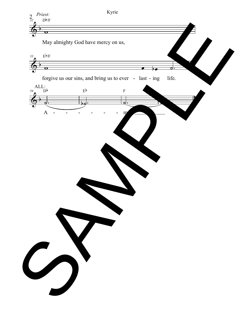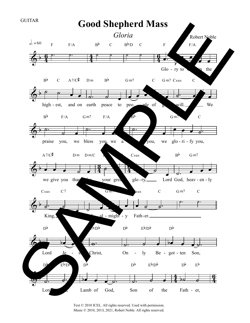

Text © 2010 ICEL. All rights reserved. Used with permission. Music © 2010, 2013, 2021, Robert Noble. All rights reserved.